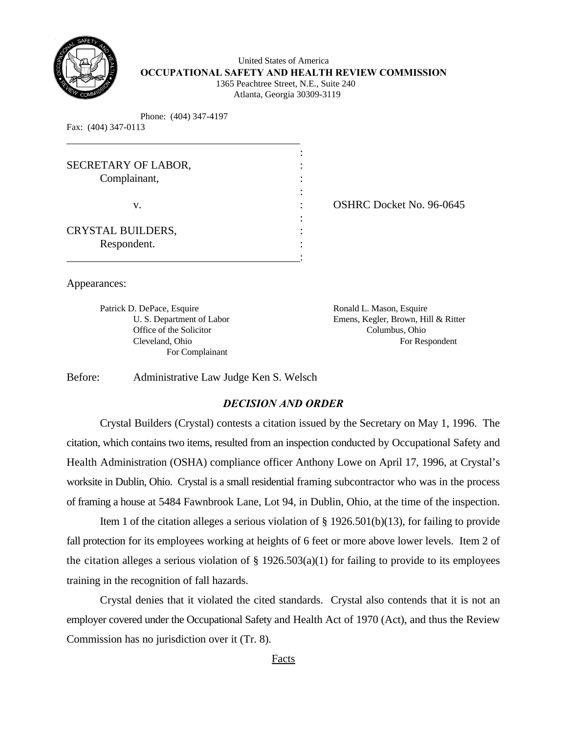

 United States of America **OCCUPATIONAL SAFETY AND HEALTH REVIEW COMMISSION** 1365 Peachtree Street, N.E., Suite 240

:

Atlanta, Georgia 30309-3119

Phone: (404) 347-4197

| Fax: (404) 347-0113 |  |
|---------------------|--|
|                     |  |

| SECRETARY OF LABOR,<br>Complainant, |  |
|-------------------------------------|--|
|                                     |  |
| V.                                  |  |
|                                     |  |
| CRYSTAL BUILDERS,                   |  |
| Respondent.                         |  |

OSHRC Docket No. 96-0645

Appearances:

Patrick D. DePace, Esquire **Ronald L. Mason, Esquire** Ronald L. Mason, Esquire Office of the Solicitor Columbus, Ohio For Complainant

U. S. Department of Labor Emens, Kegler, Brown, Hill & Ritter Cleveland, Ohio For Respondent

Before: Administrative Law Judge Ken S. Welsch

# *DECISION AND ORDER*

Crystal Builders (Crystal) contests a citation issued by the Secretary on May 1, 1996. The citation, which contains two items, resulted from an inspection conducted by Occupational Safety and Health Administration (OSHA) compliance officer Anthony Lowe on April 17, 1996, at Crystal's worksite in Dublin, Ohio. Crystal is a small residential framing subcontractor who was in the process of framing a house at 5484 Fawnbrook Lane, Lot 94, in Dublin, Ohio, at the time of the inspection.

Item 1 of the citation alleges a serious violation of § 1926.501(b)(13), for failing to provide fall protection for its employees working at heights of 6 feet or more above lower levels. Item 2 of the citation alleges a serious violation of  $\S$  1926.503(a)(1) for failing to provide to its employees training in the recognition of fall hazards.

Crystal denies that it violated the cited standards. Crystal also contends that it is not an employer covered under the Occupational Safety and Health Act of 1970 (Act), and thus the Review Commission has no jurisdiction over it (Tr. 8).

Facts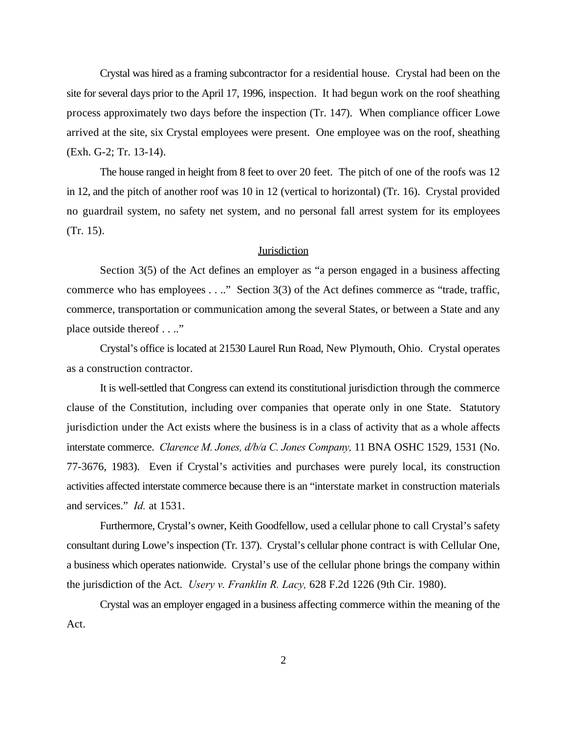Crystal was hired as a framing subcontractor for a residential house. Crystal had been on the site for several days prior to the April 17, 1996, inspection. It had begun work on the roof sheathing process approximately two days before the inspection (Tr. 147). When compliance officer Lowe arrived at the site, six Crystal employees were present. One employee was on the roof, sheathing (Exh. G-2; Tr. 13-14).

The house ranged in height from 8 feet to over 20 feet. The pitch of one of the roofs was 12 in 12, and the pitch of another roof was 10 in 12 (vertical to horizontal) (Tr. 16). Crystal provided no guardrail system, no safety net system, and no personal fall arrest system for its employees (Tr. 15).

#### **Jurisdiction**

Section 3(5) of the Act defines an employer as "a person engaged in a business affecting commerce who has employees . . .." Section 3(3) of the Act defines commerce as "trade, traffic, commerce, transportation or communication among the several States, or between a State and any place outside thereof . . .."

Crystal's office is located at 21530 Laurel Run Road, New Plymouth, Ohio. Crystal operates as a construction contractor.

It is well-settled that Congress can extend its constitutional jurisdiction through the commerce clause of the Constitution, including over companies that operate only in one State. Statutory jurisdiction under the Act exists where the business is in a class of activity that as a whole affects interstate commerce. *Clarence M. Jones, d/b/a C. Jones Company,* 11 BNA OSHC 1529, 1531 (No. 77-3676, 1983). Even if Crystal's activities and purchases were purely local, its construction activities affected interstate commerce because there is an "interstate market in construction materials and services." *Id.* at 1531.

Furthermore, Crystal's owner, Keith Goodfellow, used a cellular phone to call Crystal's safety consultant during Lowe's inspection (Tr. 137). Crystal's cellular phone contract is with Cellular One, a business which operates nationwide. Crystal's use of the cellular phone brings the company within the jurisdiction of the Act. *Usery v. Franklin R. Lacy,* 628 F.2d 1226 (9th Cir. 1980).

Crystal was an employer engaged in a business affecting commerce within the meaning of the Act.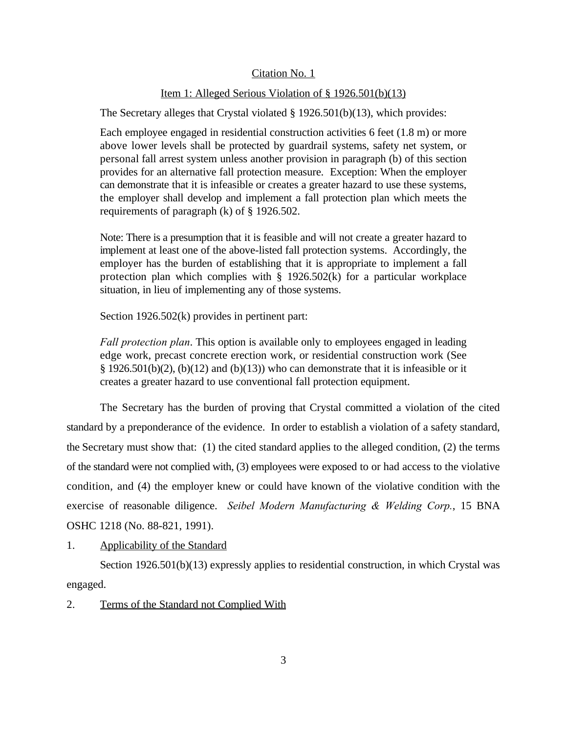### Citation No. 1

# Item 1: Alleged Serious Violation of § 1926.501(b)(13)

The Secretary alleges that Crystal violated § 1926.501(b)(13), which provides:

Each employee engaged in residential construction activities 6 feet (1.8 m) or more above lower levels shall be protected by guardrail systems, safety net system, or personal fall arrest system unless another provision in paragraph (b) of this section provides for an alternative fall protection measure. Exception: When the employer can demonstrate that it is infeasible or creates a greater hazard to use these systems, the employer shall develop and implement a fall protection plan which meets the requirements of paragraph (k) of § 1926.502.

Note: There is a presumption that it is feasible and will not create a greater hazard to implement at least one of the above-listed fall protection systems. Accordingly, the employer has the burden of establishing that it is appropriate to implement a fall protection plan which complies with  $\S$  1926.502(k) for a particular workplace situation, in lieu of implementing any of those systems.

Section 1926.502(k) provides in pertinent part:

*Fall protection plan*. This option is available only to employees engaged in leading edge work, precast concrete erection work, or residential construction work (See § 1926.501(b)(2), (b)(12) and (b)(13)) who can demonstrate that it is infeasible or it creates a greater hazard to use conventional fall protection equipment.

The Secretary has the burden of proving that Crystal committed a violation of the cited standard by a preponderance of the evidence. In order to establish a violation of a safety standard, the Secretary must show that: (1) the cited standard applies to the alleged condition, (2) the terms of the standard were not complied with, (3) employees were exposed to or had access to the violative condition, and (4) the employer knew or could have known of the violative condition with the exercise of reasonable diligence. *Seibel Modern Manufacturing & Welding Corp.*, 15 BNA OSHC 1218 (No. 88-821, 1991).

1. Applicability of the Standard

Section 1926.501(b)(13) expressly applies to residential construction, in which Crystal was engaged.

2. Terms of the Standard not Complied With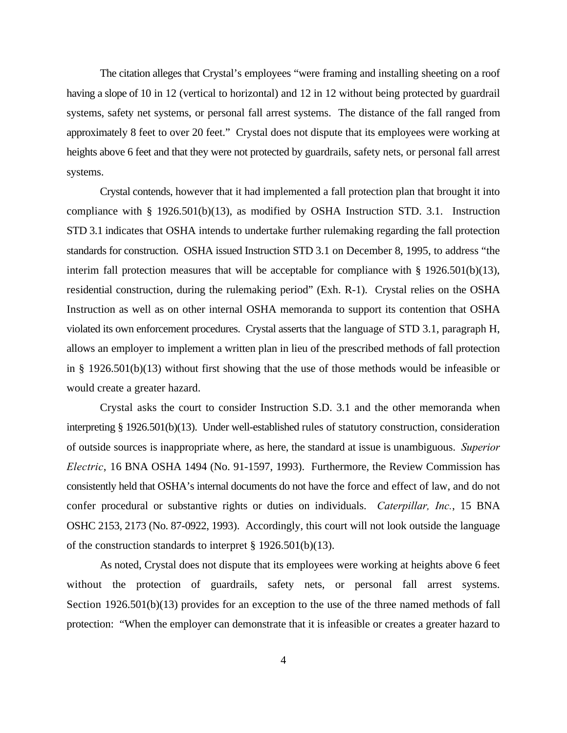The citation alleges that Crystal's employees "were framing and installing sheeting on a roof having a slope of 10 in 12 (vertical to horizontal) and 12 in 12 without being protected by guardrail systems, safety net systems, or personal fall arrest systems. The distance of the fall ranged from approximately 8 feet to over 20 feet." Crystal does not dispute that its employees were working at heights above 6 feet and that they were not protected by guardrails, safety nets, or personal fall arrest systems.

Crystal contends, however that it had implemented a fall protection plan that brought it into compliance with § 1926.501(b)(13), as modified by OSHA Instruction STD. 3.1. Instruction STD 3.1 indicates that OSHA intends to undertake further rulemaking regarding the fall protection standards for construction. OSHA issued Instruction STD 3.1 on December 8, 1995, to address "the interim fall protection measures that will be acceptable for compliance with § 1926.501(b)(13), residential construction, during the rulemaking period" (Exh. R-1). Crystal relies on the OSHA Instruction as well as on other internal OSHA memoranda to support its contention that OSHA violated its own enforcement procedures. Crystal asserts that the language of STD 3.1, paragraph H, allows an employer to implement a written plan in lieu of the prescribed methods of fall protection in § 1926.501(b)(13) without first showing that the use of those methods would be infeasible or would create a greater hazard.

Crystal asks the court to consider Instruction S.D. 3.1 and the other memoranda when interpreting § 1926.501(b)(13). Under well-established rules of statutory construction, consideration of outside sources is inappropriate where, as here, the standard at issue is unambiguous. *Superior Electric*, 16 BNA OSHA 1494 (No. 91-1597, 1993). Furthermore, the Review Commission has consistently held that OSHA's internal documents do not have the force and effect of law, and do not confer procedural or substantive rights or duties on individuals. *Caterpillar, Inc.*, 15 BNA OSHC 2153, 2173 (No. 87-0922, 1993). Accordingly, this court will not look outside the language of the construction standards to interpret § 1926.501(b)(13).

As noted, Crystal does not dispute that its employees were working at heights above 6 feet without the protection of guardrails, safety nets, or personal fall arrest systems. Section 1926.501(b)(13) provides for an exception to the use of the three named methods of fall protection: "When the employer can demonstrate that it is infeasible or creates a greater hazard to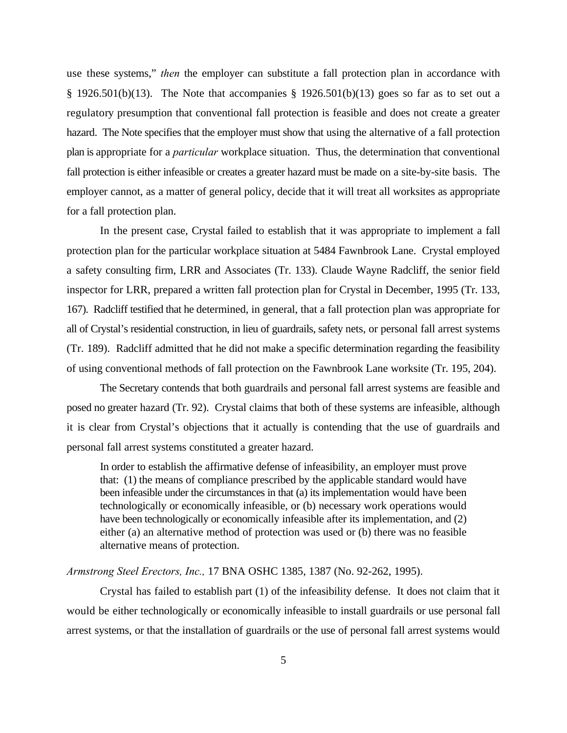use these systems," *then* the employer can substitute a fall protection plan in accordance with § 1926.501(b)(13). The Note that accompanies § 1926.501(b)(13) goes so far as to set out a regulatory presumption that conventional fall protection is feasible and does not create a greater hazard. The Note specifies that the employer must show that using the alternative of a fall protection plan is appropriate for a *particular* workplace situation. Thus, the determination that conventional fall protection is either infeasible or creates a greater hazard must be made on a site-by-site basis. The employer cannot, as a matter of general policy, decide that it will treat all worksites as appropriate for a fall protection plan.

In the present case, Crystal failed to establish that it was appropriate to implement a fall protection plan for the particular workplace situation at 5484 Fawnbrook Lane. Crystal employed a safety consulting firm, LRR and Associates (Tr. 133). Claude Wayne Radcliff, the senior field inspector for LRR, prepared a written fall protection plan for Crystal in December, 1995 (Tr. 133, 167). Radcliff testified that he determined, in general, that a fall protection plan was appropriate for all of Crystal's residential construction, in lieu of guardrails, safety nets, or personal fall arrest systems (Tr. 189). Radcliff admitted that he did not make a specific determination regarding the feasibility of using conventional methods of fall protection on the Fawnbrook Lane worksite (Tr. 195, 204).

The Secretary contends that both guardrails and personal fall arrest systems are feasible and posed no greater hazard (Tr. 92). Crystal claims that both of these systems are infeasible, although it is clear from Crystal's objections that it actually is contending that the use of guardrails and personal fall arrest systems constituted a greater hazard.

In order to establish the affirmative defense of infeasibility, an employer must prove that: (1) the means of compliance prescribed by the applicable standard would have been infeasible under the circumstances in that (a) its implementation would have been technologically or economically infeasible, or (b) necessary work operations would have been technologically or economically infeasible after its implementation, and (2) either (a) an alternative method of protection was used or (b) there was no feasible alternative means of protection.

# *Armstrong Steel Erectors, Inc.,* 17 BNA OSHC 1385, 1387 (No. 92-262, 1995).

Crystal has failed to establish part (1) of the infeasibility defense. It does not claim that it would be either technologically or economically infeasible to install guardrails or use personal fall arrest systems, or that the installation of guardrails or the use of personal fall arrest systems would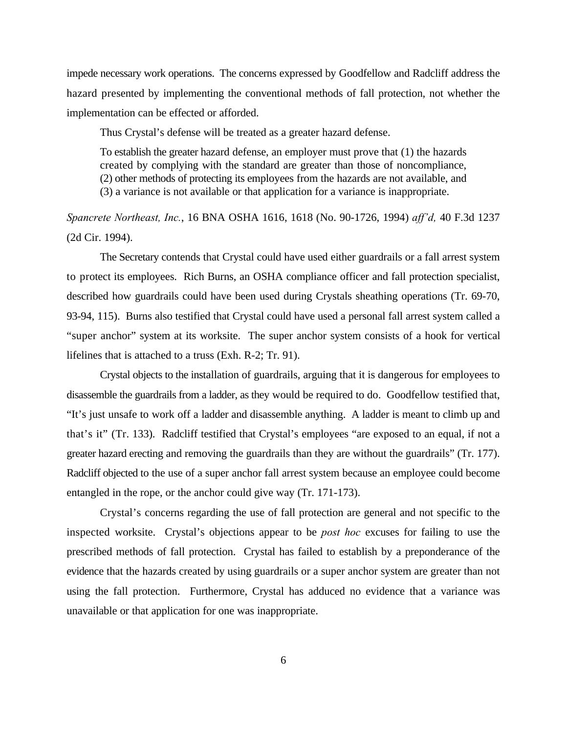impede necessary work operations. The concerns expressed by Goodfellow and Radcliff address the hazard presented by implementing the conventional methods of fall protection, not whether the implementation can be effected or afforded.

Thus Crystal's defense will be treated as a greater hazard defense.

To establish the greater hazard defense, an employer must prove that (1) the hazards created by complying with the standard are greater than those of noncompliance, (2) other methods of protecting its employees from the hazards are not available, and (3) a variance is not available or that application for a variance is inappropriate.

# *Spancrete Northeast, Inc.*, 16 BNA OSHA 1616, 1618 (No. 90-1726, 1994) *aff'd,* 40 F.3d 1237 (2d Cir. 1994).

The Secretary contends that Crystal could have used either guardrails or a fall arrest system to protect its employees. Rich Burns, an OSHA compliance officer and fall protection specialist, described how guardrails could have been used during Crystals sheathing operations (Tr. 69-70, 93-94, 115). Burns also testified that Crystal could have used a personal fall arrest system called a "super anchor" system at its worksite. The super anchor system consists of a hook for vertical lifelines that is attached to a truss (Exh. R-2; Tr. 91).

Crystal objects to the installation of guardrails, arguing that it is dangerous for employees to disassemble the guardrails from a ladder, as they would be required to do. Goodfellow testified that, "It's just unsafe to work off a ladder and disassemble anything. A ladder is meant to climb up and that's it" (Tr. 133). Radcliff testified that Crystal's employees "are exposed to an equal, if not a greater hazard erecting and removing the guardrails than they are without the guardrails" (Tr. 177). Radcliff objected to the use of a super anchor fall arrest system because an employee could become entangled in the rope, or the anchor could give way (Tr. 171-173).

Crystal's concerns regarding the use of fall protection are general and not specific to the inspected worksite. Crystal's objections appear to be *post hoc* excuses for failing to use the prescribed methods of fall protection. Crystal has failed to establish by a preponderance of the evidence that the hazards created by using guardrails or a super anchor system are greater than not using the fall protection. Furthermore, Crystal has adduced no evidence that a variance was unavailable or that application for one was inappropriate.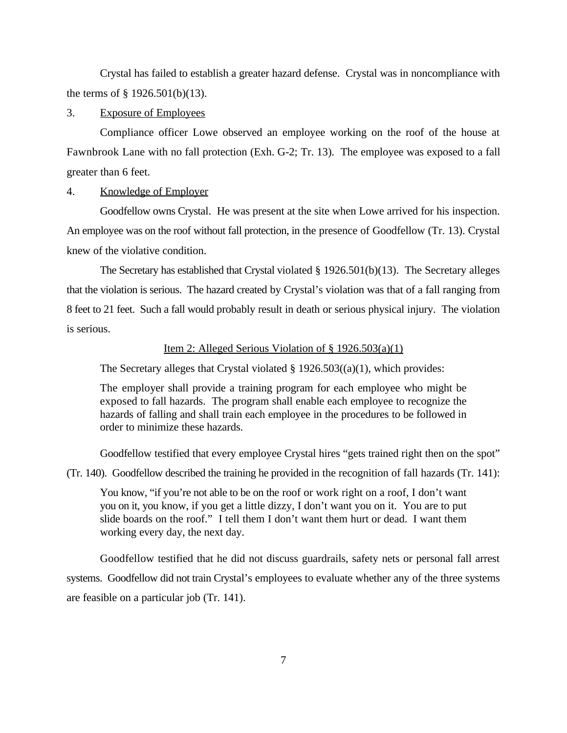Crystal has failed to establish a greater hazard defense. Crystal was in noncompliance with the terms of § 1926.501(b)(13).

3. Exposure of Employees

Compliance officer Lowe observed an employee working on the roof of the house at Fawnbrook Lane with no fall protection (Exh. G-2; Tr. 13). The employee was exposed to a fall greater than 6 feet.

4. Knowledge of Employer

Goodfellow owns Crystal. He was present at the site when Lowe arrived for his inspection. An employee was on the roof without fall protection, in the presence of Goodfellow (Tr. 13). Crystal knew of the violative condition.

The Secretary has established that Crystal violated § 1926.501(b)(13). The Secretary alleges that the violation is serious. The hazard created by Crystal's violation was that of a fall ranging from 8 feet to 21 feet. Such a fall would probably result in death or serious physical injury. The violation is serious.

Item 2: Alleged Serious Violation of § 1926.503(a)(1)

The Secretary alleges that Crystal violated  $\S$  1926.503((a)(1), which provides:

The employer shall provide a training program for each employee who might be exposed to fall hazards. The program shall enable each employee to recognize the hazards of falling and shall train each employee in the procedures to be followed in order to minimize these hazards.

Goodfellow testified that every employee Crystal hires "gets trained right then on the spot"

(Tr. 140). Goodfellow described the training he provided in the recognition of fall hazards (Tr. 141):

You know, "if you're not able to be on the roof or work right on a roof, I don't want you on it, you know, if you get a little dizzy, I don't want you on it. You are to put slide boards on the roof." I tell them I don't want them hurt or dead. I want them working every day, the next day.

Goodfellow testified that he did not discuss guardrails, safety nets or personal fall arrest systems. Goodfellow did not train Crystal's employees to evaluate whether any of the three systems are feasible on a particular job (Tr. 141).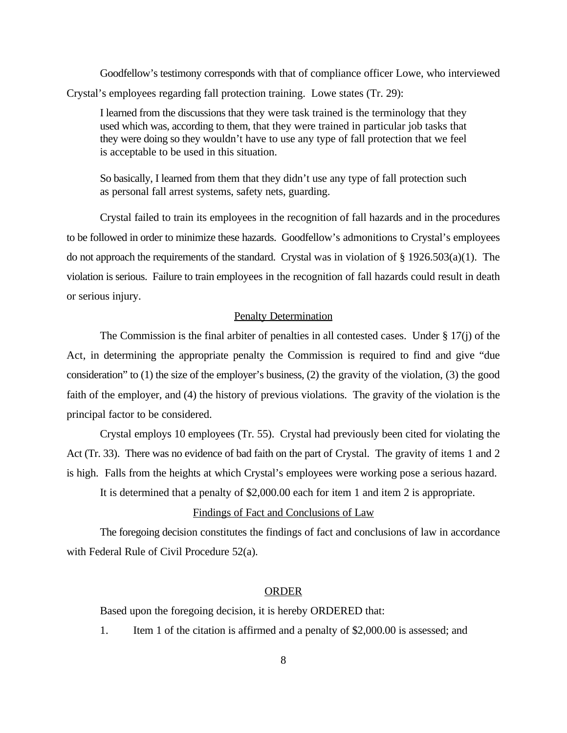Goodfellow's testimony corresponds with that of compliance officer Lowe, who interviewed Crystal's employees regarding fall protection training. Lowe states (Tr. 29):

I learned from the discussions that they were task trained is the terminology that they used which was, according to them, that they were trained in particular job tasks that they were doing so they wouldn't have to use any type of fall protection that we feel is acceptable to be used in this situation.

So basically, I learned from them that they didn't use any type of fall protection such as personal fall arrest systems, safety nets, guarding.

Crystal failed to train its employees in the recognition of fall hazards and in the procedures to be followed in order to minimize these hazards. Goodfellow's admonitions to Crystal's employees do not approach the requirements of the standard. Crystal was in violation of  $\S 1926.503(a)(1)$ . The violation is serious. Failure to train employees in the recognition of fall hazards could result in death or serious injury.

#### Penalty Determination

The Commission is the final arbiter of penalties in all contested cases. Under  $\S 17(i)$  of the Act, in determining the appropriate penalty the Commission is required to find and give "due consideration" to (1) the size of the employer's business, (2) the gravity of the violation, (3) the good faith of the employer, and (4) the history of previous violations. The gravity of the violation is the principal factor to be considered.

Crystal employs 10 employees (Tr. 55). Crystal had previously been cited for violating the Act (Tr. 33). There was no evidence of bad faith on the part of Crystal. The gravity of items 1 and 2 is high. Falls from the heights at which Crystal's employees were working pose a serious hazard.

It is determined that a penalty of \$2,000.00 each for item 1 and item 2 is appropriate.

#### Findings of Fact and Conclusions of Law

The foregoing decision constitutes the findings of fact and conclusions of law in accordance with Federal Rule of Civil Procedure 52(a).

#### ORDER

Based upon the foregoing decision, it is hereby ORDERED that:

1. Item 1 of the citation is affirmed and a penalty of \$2,000.00 is assessed; and